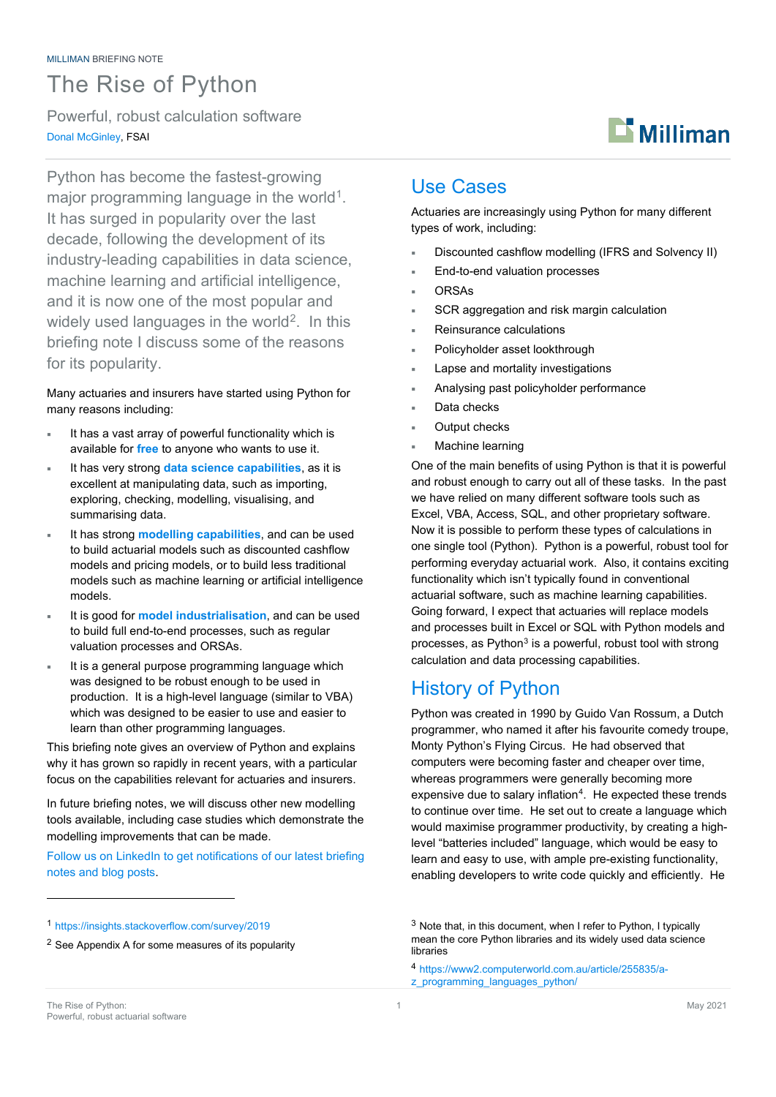# The Rise of Python

Powerful, robust calculation software Donal McGinley, FSAI

Python has become the fastest-growing major programming language in the world<sup>[1](#page-0-0)</sup>. It has surged in popularity over the last decade, following the development of its industry-leading capabilities in data science, machine learning and artificial intelligence, and it is now one of the most popular and widely used languages in the world<sup>[2](#page-0-1)</sup>. In this briefing note I discuss some of the reasons for its popularity.

#### Many actuaries and insurers have started using Python for many reasons including:

- It has a vast array of powerful functionality which is available for **free** to anyone who wants to use it.
- It has very strong **data science capabilities**, as it is excellent at manipulating data, such as importing, exploring, checking, modelling, visualising, and summarising data.
- It has strong **modelling capabilities**, and can be used to build actuarial models such as discounted cashflow models and pricing models, or to build less traditional models such as machine learning or artificial intelligence models.
- It is good for **model industrialisation**, and can be used to build full end-to-end processes, such as regular valuation processes and ORSAs.
- It is a general purpose programming language which was designed to be robust enough to be used in production. It is a high-level language (similar to VBA) which was designed to be easier to use and easier to learn than other programming languages.

This briefing note gives an overview of Python and explains why it has grown so rapidly in recent years, with a particular focus on the capabilities relevant for actuaries and insurers.

In future briefing notes, we will discuss other new modelling tools available, including case studies which demonstrate the modelling improvements that can be made.

[Follow us on LinkedIn to get notifications of our latest briefing](https://www.linkedin.com/company/milliman-ireland)  [notes and blog posts.](https://www.linkedin.com/company/milliman-ireland)

# Use Cases

Actuaries are increasingly using Python for many different types of work, including:

- Discounted cashflow modelling (IFRS and Solvency II)
- End-to-end valuation processes
- ORSAs
- SCR aggregation and risk margin calculation
- Reinsurance calculations
- Policyholder asset lookthrough
- Lapse and mortality investigations
- Analysing past policyholder performance
- Data checks
- Output checks
- Machine learning

One of the main benefits of using Python is that it is powerful and robust enough to carry out all of these tasks. In the past we have relied on many different software tools such as Excel, VBA, Access, SQL, and other proprietary software. Now it is possible to perform these types of calculations in one single tool (Python). Python is a powerful, robust tool for performing everyday actuarial work. Also, it contains exciting functionality which isn't typically found in conventional actuarial software, such as machine learning capabilities. Going forward, I expect that actuaries will replace models and processes built in Excel or SQL with Python models and processes, as Python<sup>[3](#page-0-0)</sup> is a powerful, robust tool with strong calculation and data processing capabilities.

# History of Python

Python was created in 1990 by Guido Van Rossum, a Dutch programmer, who named it after his favourite comedy troupe, Monty Python's Flying Circus. He had observed that computers were becoming faster and cheaper over time, whereas programmers were generally becoming more expensive due to salary inflation<sup>4</sup>. He expected these trends to continue over time. He set out to create a language which would maximise programmer productivity, by creating a highlevel "batteries included" language, which would be easy to learn and easy to use, with ample pre-existing functionality, enabling developers to write code quickly and efficiently. He



<span id="page-0-0"></span><sup>1</sup> <https://insights.stackoverflow.com/survey/2019>

<span id="page-0-2"></span><span id="page-0-1"></span><sup>&</sup>lt;sup>2</sup> See Appendix A for some measures of its popularity

<sup>&</sup>lt;sup>3</sup> Note that, in this document, when I refer to Python, I typically mean the core Python libraries and its widely used data science libraries

<sup>4</sup> [https://www2.computerworld.com.au/article/255835/a](https://www2.computerworld.com.au/article/255835/a-z_programming_languages_python/)[z\\_programming\\_languages\\_python/](https://www2.computerworld.com.au/article/255835/a-z_programming_languages_python/)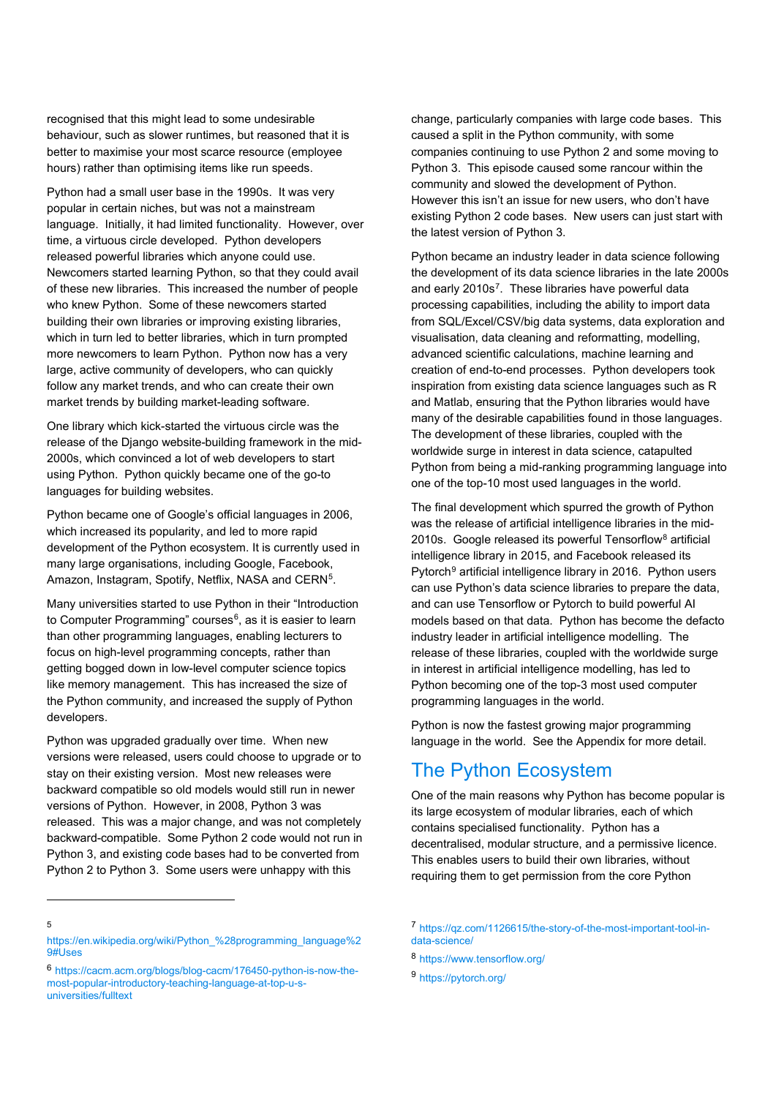recognised that this might lead to some undesirable behaviour, such as slower runtimes, but reasoned that it is better to maximise your most scarce resource (employee hours) rather than optimising items like run speeds.

Python had a small user base in the 1990s. It was very popular in certain niches, but was not a mainstream language. Initially, it had limited functionality. However, over time, a virtuous circle developed. Python developers released powerful libraries which anyone could use. Newcomers started learning Python, so that they could avail of these new libraries. This increased the number of people who knew Python. Some of these newcomers started building their own libraries or improving existing libraries, which in turn led to better libraries, which in turn prompted more newcomers to learn Python. Python now has a very large, active community of developers, who can quickly follow any market trends, and who can create their own market trends by building market-leading software.

One library which kick-started the virtuous circle was the release of the Django website-building framework in the mid-2000s, which convinced a lot of web developers to start using Python. Python quickly became one of the go-to languages for building websites.

Python became one of Google's official languages in 2006, which increased its popularity, and led to more rapid development of the Python ecosystem. It is currently used in many large organisations, including Google, Facebook, Amazon, Instagram, Spotify, Netflix, NASA and CERN<sup>[5](#page-1-0)</sup>.

Many universities started to use Python in their "Introduction to Computer Programming" courses<sup>[6](#page-1-1)</sup>, as it is easier to learn than other programming languages, enabling lecturers to focus on high-level programming concepts, rather than getting bogged down in low-level computer science topics like memory management. This has increased the size of the Python community, and increased the supply of Python developers.

Python was upgraded gradually over time. When new versions were released, users could choose to upgrade or to stay on their existing version. Most new releases were backward compatible so old models would still run in newer versions of Python. However, in 2008, Python 3 was released. This was a major change, and was not completely backward-compatible. Some Python 2 code would not run in Python 3, and existing code bases had to be converted from Python 2 to Python 3. Some users were unhappy with this

<span id="page-1-2"></span>5

change, particularly companies with large code bases. This caused a split in the Python community, with some companies continuing to use Python 2 and some moving to Python 3. This episode caused some rancour within the community and slowed the development of Python. However this isn't an issue for new users, who don't have existing Python 2 code bases. New users can just start with the latest version of Python 3.

Python became an industry leader in data science following the development of its data science libraries in the late 2000s and early 2010s<sup>[7](#page-1-2)</sup>. These libraries have powerful data processing capabilities, including the ability to import data from SQL/Excel/CSV/big data systems, data exploration and visualisation, data cleaning and reformatting, modelling, advanced scientific calculations, machine learning and creation of end-to-end processes. Python developers took inspiration from existing data science languages such as R and Matlab, ensuring that the Python libraries would have many of the desirable capabilities found in those languages. The development of these libraries, coupled with the worldwide surge in interest in data science, catapulted Python from being a mid-ranking programming language into one of the top-10 most used languages in the world.

The final development which spurred the growth of Python was the release of artificial intelligence libraries in the mid-2010s. Google released its powerful Tensorflow<sup>[8](#page-1-3)</sup> artificial intelligence library in 2015, and Facebook released its Pytorch<sup>[9](#page-1-4)</sup> artificial intelligence library in 2016. Python users can use Python's data science libraries to prepare the data, and can use Tensorflow or Pytorch to build powerful AI models based on that data. Python has become the defacto industry leader in artificial intelligence modelling. The release of these libraries, coupled with the worldwide surge in interest in artificial intelligence modelling, has led to Python becoming one of the top-3 most used computer programming languages in the world.

Python is now the fastest growing major programming language in the world. See the Appendix for more detail.

# The Python Ecosystem

One of the main reasons why Python has become popular is its large ecosystem of modular libraries, each of which contains specialised functionality. Python has a decentralised, modular structure, and a permissive licence. This enables users to build their own libraries, without requiring them to get permission from the core Python

<span id="page-1-0"></span>[https://en.wikipedia.org/wiki/Python\\_%28programming\\_language%2](https://en.wikipedia.org/wiki/Python_%28programming_language%29#Uses) [9#Uses](https://en.wikipedia.org/wiki/Python_%28programming_language%29#Uses)

<span id="page-1-4"></span><span id="page-1-3"></span><span id="page-1-1"></span><sup>6</sup> [https://cacm.acm.org/blogs/blog-cacm/176450-python-is-now-the](https://cacm.acm.org/blogs/blog-cacm/176450-python-is-now-the-most-popular-introductory-teaching-language-at-top-u-s-universities/fulltext)[most-popular-introductory-teaching-language-at-top-u-s](https://cacm.acm.org/blogs/blog-cacm/176450-python-is-now-the-most-popular-introductory-teaching-language-at-top-u-s-universities/fulltext)[universities/fulltext](https://cacm.acm.org/blogs/blog-cacm/176450-python-is-now-the-most-popular-introductory-teaching-language-at-top-u-s-universities/fulltext)

<sup>7</sup> [https://qz.com/1126615/the-story-of-the-most-important-tool-in](https://qz.com/1126615/the-story-of-the-most-important-tool-in-data-science/)[data-science/](https://qz.com/1126615/the-story-of-the-most-important-tool-in-data-science/)

<sup>8</sup> <https://www.tensorflow.org/>

<sup>9</sup> <https://pytorch.org/>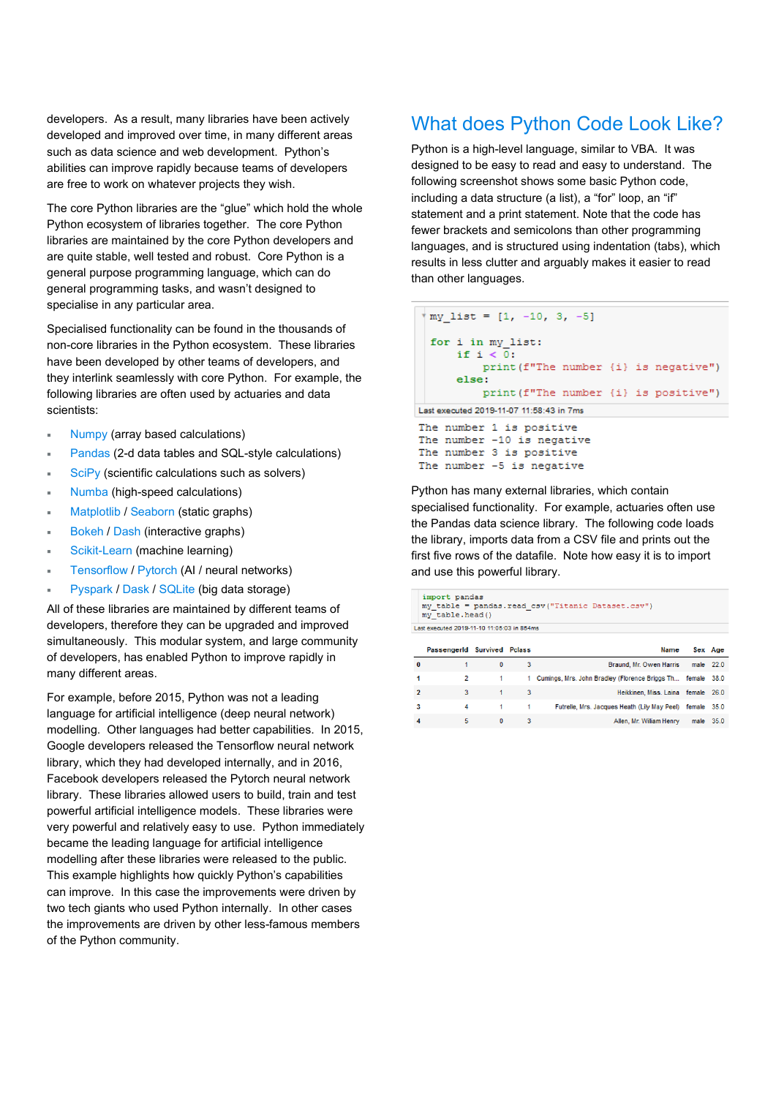developers. As a result, many libraries have been actively developed and improved over time, in many different areas such as data science and web development. Python's abilities can improve rapidly because teams of developers are free to work on whatever projects they wish.

The core Python libraries are the "glue" which hold the whole Python ecosystem of libraries together. The core Python libraries are maintained by the core Python developers and are quite stable, well tested and robust. Core Python is a general purpose programming language, which can do general programming tasks, and wasn't designed to specialise in any particular area.

Specialised functionality can be found in the thousands of non-core libraries in the Python ecosystem. These libraries have been developed by other teams of developers, and they interlink seamlessly with core Python. For example, the following libraries are often used by actuaries and data scientists:

- [Numpy](https://numpy.org/) (array based calculations)
- [Pandas](https://pandas.pydata.org/docs/) (2-d data tables and SQL-style calculations)
- [SciPy](https://docs.scipy.org/doc/scipy-1.5.4/reference/) (scientific calculations such as solvers)
- [Numba](https://numba.readthedocs.io/en/stable/user/overview.html) (high-speed calculations)
- [Matplotlib](https://matplotlib.org/) / [Seaborn](https://seaborn.pydata.org/) (static graphs)
- [Bokeh](https://bokeh.org/) / [Dash](https://plotly.com/dash/) (interactive graphs)
- [Scikit-Learn](https://scikit-learn.org/stable/index.html) (machine learning)
- [Tensorflow](https://www.tensorflow.org/) [/ Pytorch](https://pytorch.org/) (AI / neural networks)
- [Pyspark](https://spark.apache.org/docs/latest/api/python/index.html) / [Dask](https://dask.org/) / [SQLite](https://sqlite.org/index.html) (big data storage)

All of these libraries are maintained by different teams of developers, therefore they can be upgraded and improved simultaneously. This modular system, and large community of developers, has enabled Python to improve rapidly in many different areas.

For example, before 2015, Python was not a leading language for artificial intelligence (deep neural network) modelling. Other languages had better capabilities. In 2015, Google developers released the Tensorflow neural network library, which they had developed internally, and in 2016, Facebook developers released the Pytorch neural network library. These libraries allowed users to build, train and test powerful artificial intelligence models. These libraries were very powerful and relatively easy to use. Python immediately became the leading language for artificial intelligence modelling after these libraries were released to the public. This example highlights how quickly Python's capabilities can improve. In this case the improvements were driven by two tech giants who used Python internally. In other cases the improvements are driven by other less-famous members of the Python community.

## What does Python Code Look Like?

Python is a high-level language, similar to VBA. It was designed to be easy to read and easy to understand. The following screenshot shows some basic Python code, including a data structure (a list), a "for" loop, an "if" statement and a print statement. Note that the code has fewer brackets and semicolons than other programming languages, and is structured using indentation (tabs), which results in less clutter and arguably makes it easier to read than other languages.

\* my list =  $[1, -10, 3, -5]$ for i in my list: if  $i < \overline{0}$ : print (f"The number {i} is negative") else: print (f"The number {i} is positive") Last executed 2019-11-07 11:58:43 in 7ms The number 1 is positive The number -10 is negative

The number 3 is positive The number  $-5$  is negative

Python has many external libraries, which contain specialised functionality. For example, actuaries often use the Pandas data science library. The following code loads the library, imports data from a CSV file and prints out the first five rows of the datafile. Note how easy it is to import and use this powerful library.

|                | import pandas<br>my table = pandas.read csv("Titanic Dataset.csv")<br>my table.head() |             |   |                                                              |           |         |  |  |  |
|----------------|---------------------------------------------------------------------------------------|-------------|---|--------------------------------------------------------------|-----------|---------|--|--|--|
|                | Last executed 2019-11-10 11:05:03 in 854ms                                            |             |   |                                                              |           |         |  |  |  |
|                | PassengerId Survived Pclass                                                           |             |   | <b>Name</b>                                                  |           | Sex Age |  |  |  |
| $\bf{0}$       |                                                                                       | $\mathbf 0$ | з | Braund, Mr. Owen Harris                                      | male 22.0 |         |  |  |  |
|                | $\overline{2}$                                                                        | 1           |   | 1 Cumings, Mrs. John Bradley (Florence Briggs Th female 38.0 |           |         |  |  |  |
| $\overline{2}$ | 3                                                                                     | 1           | 3 | Heikkinen, Miss, Laina female 26.0                           |           |         |  |  |  |
| 3              | 4                                                                                     |             |   | Futrelle, Mrs. Jacques Heath (Lily May Peel) female 35.0     |           |         |  |  |  |

Allen, Mr. William Henry male 35.0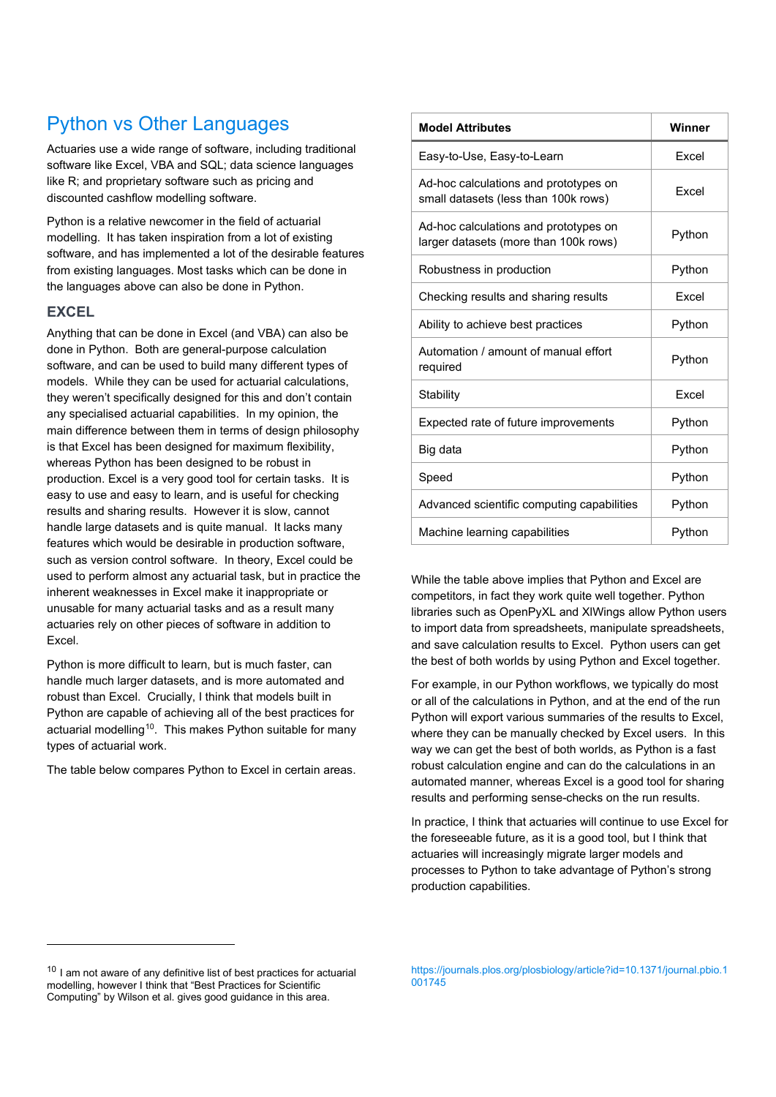# Python vs Other Languages

Actuaries use a wide range of software, including traditional software like Excel, VBA and SQL; data science languages like R; and proprietary software such as pricing and discounted cashflow modelling software.

Python is a relative newcomer in the field of actuarial modelling. It has taken inspiration from a lot of existing software, and has implemented a lot of the desirable features from existing languages. Most tasks which can be done in the languages above can also be done in Python.

#### **EXCEL**

Anything that can be done in Excel (and VBA) can also be done in Python. Both are general-purpose calculation software, and can be used to build many different types of models. While they can be used for actuarial calculations, they weren't specifically designed for this and don't contain any specialised actuarial capabilities. In my opinion, the main difference between them in terms of design philosophy is that Excel has been designed for maximum flexibility, whereas Python has been designed to be robust in production. Excel is a very good tool for certain tasks. It is easy to use and easy to learn, and is useful for checking results and sharing results. However it is slow, cannot handle large datasets and is quite manual. It lacks many features which would be desirable in production software, such as version control software. In theory, Excel could be used to perform almost any actuarial task, but in practice the inherent weaknesses in Excel make it inappropriate or unusable for many actuarial tasks and as a result many actuaries rely on other pieces of software in addition to Excel.

Python is more difficult to learn, but is much faster, can handle much larger datasets, and is more automated and robust than Excel. Crucially, I think that models built in Python are capable of achieving all of the best practices for actuarial modelling<sup>[10](#page-3-0)</sup>. This makes Python suitable for many types of actuarial work.

The table below compares Python to Excel in certain areas.

| <b>Model Attributes</b>                                                        | Winner       |  |  |
|--------------------------------------------------------------------------------|--------------|--|--|
| Easy-to-Use, Easy-to-Learn                                                     | <b>Fxcel</b> |  |  |
| Ad-hoc calculations and prototypes on<br>small datasets (less than 100k rows)  | <b>Fxcel</b> |  |  |
| Ad-hoc calculations and prototypes on<br>larger datasets (more than 100k rows) | Python       |  |  |
| Robustness in production                                                       | Python       |  |  |
| Checking results and sharing results                                           | Excel        |  |  |
| Ability to achieve best practices                                              | Python       |  |  |
| Automation / amount of manual effort<br>required                               | Python       |  |  |
| Stability                                                                      | <b>Fxcel</b> |  |  |
| Expected rate of future improvements                                           | Python       |  |  |
| Big data                                                                       | Python       |  |  |
| Speed                                                                          | Python       |  |  |
| Advanced scientific computing capabilities                                     | Python       |  |  |
| Machine learning capabilities                                                  | Python       |  |  |

While the table above implies that Python and Excel are competitors, in fact they work quite well together. Python libraries such as OpenPyXL and XlWings allow Python users to import data from spreadsheets, manipulate spreadsheets, and save calculation results to Excel. Python users can get the best of both worlds by using Python and Excel together.

For example, in our Python workflows, we typically do most or all of the calculations in Python, and at the end of the run Python will export various summaries of the results to Excel, where they can be manually checked by Excel users. In this way we can get the best of both worlds, as Python is a fast robust calculation engine and can do the calculations in an automated manner, whereas Excel is a good tool for sharing results and performing sense-checks on the run results.

In practice, I think that actuaries will continue to use Excel for the foreseeable future, as it is a good tool, but I think that actuaries will increasingly migrate larger models and processes to Python to take advantage of Python's strong production capabilities.

<span id="page-3-0"></span> $10$  I am not aware of any definitive list of best practices for actuarial modelling, however I think that "Best Practices for Scientific Computing" by Wilson et al. gives good guidance in this area.

[https://journals.plos.org/plosbiology/article?id=10.1371/journal.pbio.1](https://journals.plos.org/plosbiology/article?id=10.1371/journal.pbio.1001745) [001745](https://journals.plos.org/plosbiology/article?id=10.1371/journal.pbio.1001745)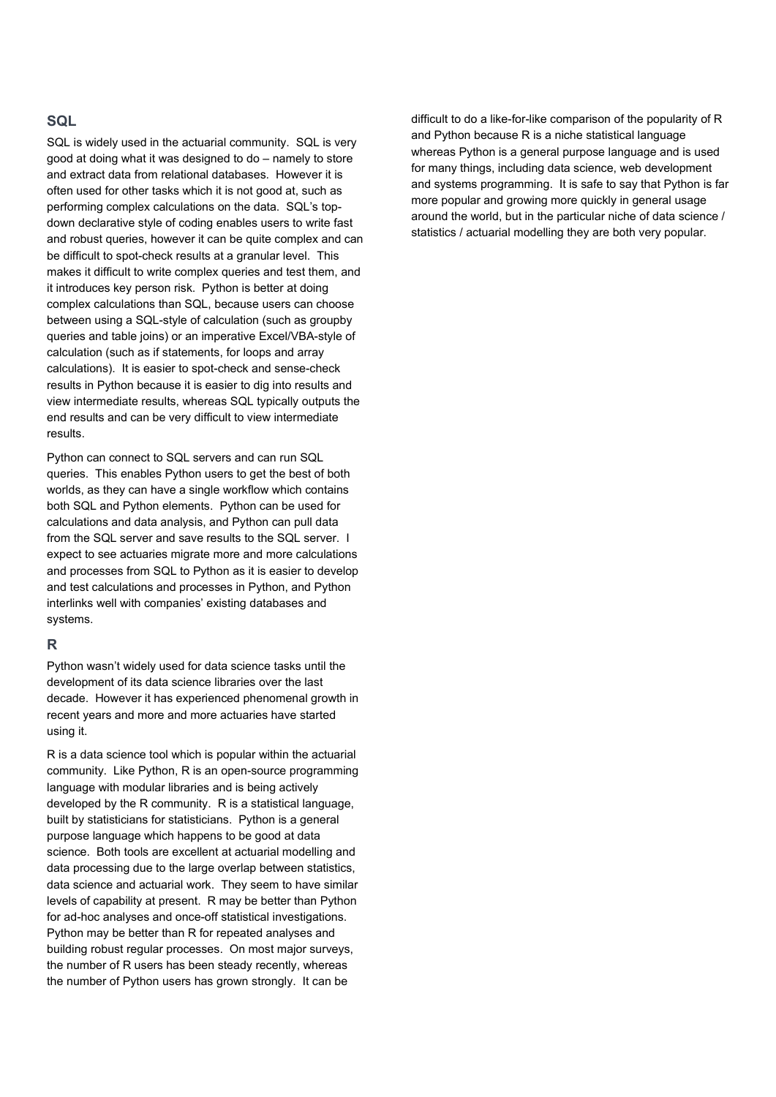#### **SQL**

SQL is widely used in the actuarial community. SQL is very good at doing what it was designed to do – namely to store and extract data from relational databases. However it is often used for other tasks which it is not good at, such as performing complex calculations on the data. SQL's topdown declarative style of coding enables users to write fast and robust queries, however it can be quite complex and can be difficult to spot-check results at a granular level. This makes it difficult to write complex queries and test them, and it introduces key person risk. Python is better at doing complex calculations than SQL, because users can choose between using a SQL-style of calculation (such as groupby queries and table joins) or an imperative Excel/VBA-style of calculation (such as if statements, for loops and array calculations). It is easier to spot-check and sense-check results in Python because it is easier to dig into results and view intermediate results, whereas SQL typically outputs the end results and can be very difficult to view intermediate results.

Python can connect to SQL servers and can run SQL queries. This enables Python users to get the best of both worlds, as they can have a single workflow which contains both SQL and Python elements. Python can be used for calculations and data analysis, and Python can pull data from the SQL server and save results to the SQL server. I expect to see actuaries migrate more and more calculations and processes from SQL to Python as it is easier to develop and test calculations and processes in Python, and Python interlinks well with companies' existing databases and systems.

#### **R**

Python wasn't widely used for data science tasks until the development of its data science libraries over the last decade. However it has experienced phenomenal growth in recent years and more and more actuaries have started using it.

R is a data science tool which is popular within the actuarial community. Like Python, R is an open-source programming language with modular libraries and is being actively developed by the R community. R is a statistical language, built by statisticians for statisticians. Python is a general purpose language which happens to be good at data science. Both tools are excellent at actuarial modelling and data processing due to the large overlap between statistics, data science and actuarial work. They seem to have similar levels of capability at present. R may be better than Python for ad-hoc analyses and once-off statistical investigations. Python may be better than R for repeated analyses and building robust regular processes. On most major surveys, the number of R users has been steady recently, whereas the number of Python users has grown strongly. It can be

difficult to do a like-for-like comparison of the popularity of R and Python because R is a niche statistical language whereas Python is a general purpose language and is used for many things, including data science, web development and systems programming. It is safe to say that Python is far more popular and growing more quickly in general usage around the world, but in the particular niche of data science / statistics / actuarial modelling they are both very popular.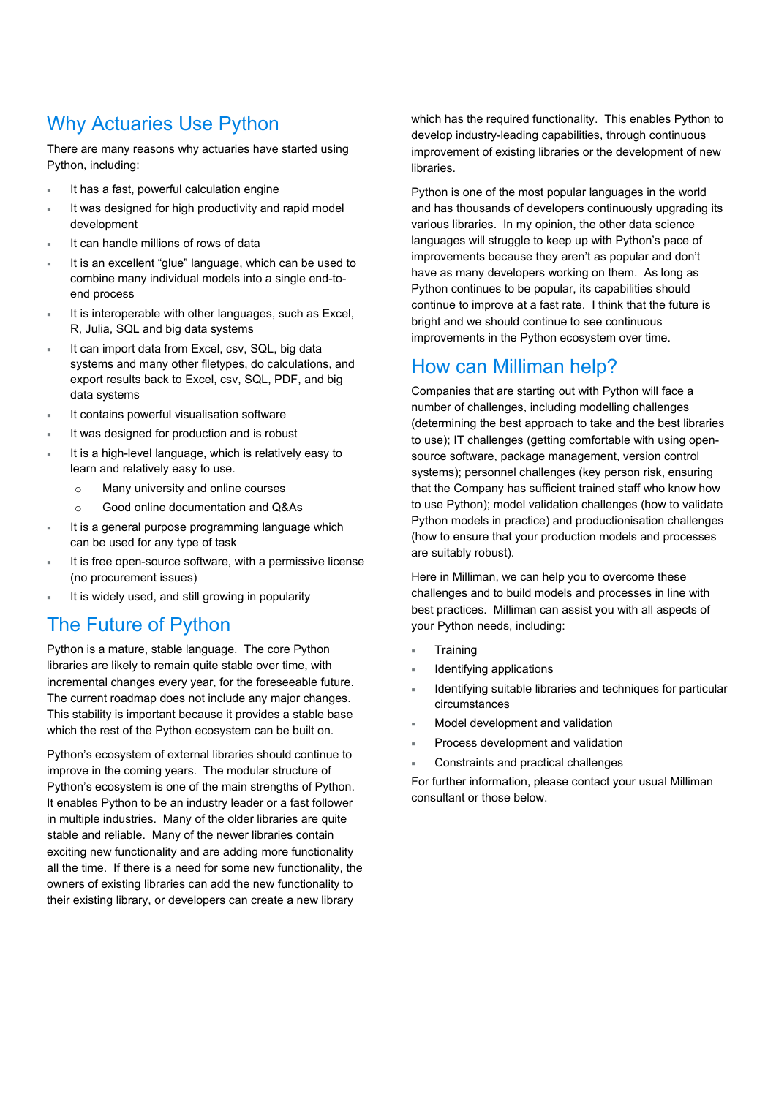# Why Actuaries Use Python

There are many reasons why actuaries have started using Python, including:

- It has a fast, powerful calculation engine
- It was designed for high productivity and rapid model development
- It can handle millions of rows of data
- It is an excellent "glue" language, which can be used to combine many individual models into a single end-toend process
- It is interoperable with other languages, such as Excel, R, Julia, SQL and big data systems
- It can import data from Excel, csv, SQL, big data systems and many other filetypes, do calculations, and export results back to Excel, csv, SQL, PDF, and big data systems
- It contains powerful visualisation software
- It was designed for production and is robust
- It is a high-level language, which is relatively easy to learn and relatively easy to use.
	- o Many university and online courses
	- o Good online documentation and Q&As
- It is a general purpose programming language which can be used for any type of task
- It is free open-source software, with a permissive license (no procurement issues)
- It is widely used, and still growing in popularity

# The Future of Python

Python is a mature, stable language. The core Python libraries are likely to remain quite stable over time, with incremental changes every year, for the foreseeable future. The current roadmap does not include any major changes. This stability is important because it provides a stable base which the rest of the Python ecosystem can be built on.

Python's ecosystem of external libraries should continue to improve in the coming years. The modular structure of Python's ecosystem is one of the main strengths of Python. It enables Python to be an industry leader or a fast follower in multiple industries. Many of the older libraries are quite stable and reliable. Many of the newer libraries contain exciting new functionality and are adding more functionality all the time. If there is a need for some new functionality, the owners of existing libraries can add the new functionality to their existing library, or developers can create a new library

which has the required functionality. This enables Python to develop industry-leading capabilities, through continuous improvement of existing libraries or the development of new libraries.

Python is one of the most popular languages in the world and has thousands of developers continuously upgrading its various libraries. In my opinion, the other data science languages will struggle to keep up with Python's pace of improvements because they aren't as popular and don't have as many developers working on them. As long as Python continues to be popular, its capabilities should continue to improve at a fast rate. I think that the future is bright and we should continue to see continuous improvements in the Python ecosystem over time.

# How can Milliman help?

Companies that are starting out with Python will face a number of challenges, including modelling challenges (determining the best approach to take and the best libraries to use); IT challenges (getting comfortable with using opensource software, package management, version control systems); personnel challenges (key person risk, ensuring that the Company has sufficient trained staff who know how to use Python); model validation challenges (how to validate Python models in practice) and productionisation challenges (how to ensure that your production models and processes are suitably robust).

Here in Milliman, we can help you to overcome these challenges and to build models and processes in line with best practices. Milliman can assist you with all aspects of your Python needs, including:

- **Training**
- Identifying applications
- Identifying suitable libraries and techniques for particular circumstances
- Model development and validation
- Process development and validation
- Constraints and practical challenges

For further information, please contact your usual Milliman consultant or those below.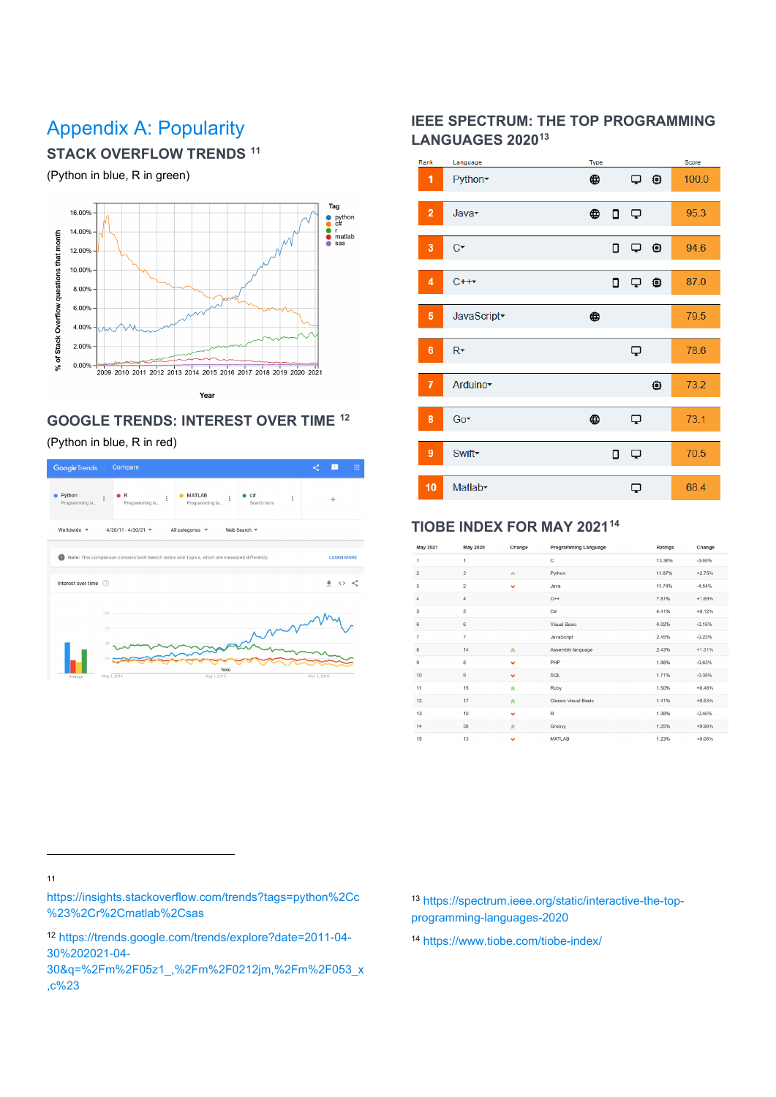# Appendix A: Popularity

## **STACK OVERFLOW TRENDS [11](#page-6-0)**

(Python in blue, R in green)



#### **GOOGLE TRENDS: INTEREST OVER TIME [12](#page-6-1)**

(Python in blue, R in red)



#### **IEEE SPECTRUM: THE TOP PROGRAMMING LANGUAGES 2020[13](#page-6-2)**

| Rank           | Language   | Type        |       |       |     | Score |
|----------------|------------|-------------|-------|-------|-----|-------|
| 1              | Python*    | ⊕           |       |       | ♀ ♀ | 100.0 |
| $\overline{2}$ | Java-      |             | ⊕ □ ワ |       |     | 95.3  |
| 3              | $C^*$      |             |       | 0 Q @ |     | 94.6  |
| 4              | $C++$      |             | о     | Q @   |     | 87.0  |
| 5              | JavaScript | $\bigoplus$ |       |       |     | 79.5  |
| 6              | $R^+$      |             |       | Ç     |     | 78.6  |
| $\overline{7}$ | Arduino-   |             |       |       | ₿   | 73.2  |
| 8              | $Go*$      | ⊕           |       | Ç     |     | 73.1  |
| 9              | Swift-     |             |       | ⊊ ם   |     | 70.5  |
| 10             | Matlab-    |             |       | ₽     |     | 68.4  |

#### **TIOBE INDEX FOR MAY 2021[14](#page-6-3)**

| <b>May 2021</b> | <b>May 2020</b> | Change              | <b>Programming Language</b> | Ratings | Change   |
|-----------------|-----------------|---------------------|-----------------------------|---------|----------|
| 1               | 1               |                     | $\mathbf{C}$                | 13.38%  | $-3.68%$ |
| $\overline{2}$  | 3               | $\hat{\phantom{a}}$ | Python                      | 11.87%  | $+2.75%$ |
| 3               | $\overline{2}$  | Ÿ                   | Java                        | 11.74%  | $-4.54%$ |
| 4               | 4               |                     | $C++$                       | 7.81%   | $+1.69%$ |
| 5               | 5               |                     | C#                          | 4.41%   | $+0.12%$ |
| 6               | 6               |                     | <b>Visual Basic</b>         | 4.02%   | $-0.16%$ |
| $\overline{7}$  | 7               |                     | JavaScript                  | 2.45%   | $-0.23%$ |
| 8               | 14              | 《                   | Assembly language           | 2.43%   | $+1.31%$ |
| 9               | 8               | Ÿ                   | PHP                         | 1.86%   | $-0.63%$ |
| 10              | 9               | v                   | SQL                         | 1.71%   | $-0.38%$ |
| 11              | 15              | 仌                   | Ruby                        | 1.50%   | $+0.48%$ |
| 12              | 17              | 《                   | Classic Visual Basic        | 1.41%   | $+0.53%$ |
| 13              | 10              | v                   | $\mathsf{R}$                | 1.38%   | $-0.46%$ |
| 14              | 38              | 交                   | Groovy                      | 1.25%   | +0.96%   |
| 15              | 13              | Ÿ                   | <b>MATLAB</b>               | 1.23%   | $+0.06%$ |

11

<span id="page-6-2"></span><span id="page-6-0"></span>[https://insights.stackoverflow.com/trends?tags=python%2Cc](https://insights.stackoverflow.com/trends?tags=python%2Cc%23%2Cr%2Cmatlab%2Csas) [%23%2Cr%2Cmatlab%2Csas](https://insights.stackoverflow.com/trends?tags=python%2Cc%23%2Cr%2Cmatlab%2Csas)

- <sup>13</sup> [https://spectrum.ieee.org/static/interactive-the-top](https://spectrum.ieee.org/static/interactive-the-top-programming-languages-2020)[programming-languages-2020](https://spectrum.ieee.org/static/interactive-the-top-programming-languages-2020)
- <sup>14</sup> <https://www.tiobe.com/tiobe-index/>

<span id="page-6-3"></span><span id="page-6-1"></span><sup>12</sup> [https://trends.google.com/trends/explore?date=2011-04-](https://trends.google.com/trends/explore?date=2011-04-30%202021-04-30&q=%2Fm%2F05z1_,%2Fm%2F0212jm,%2Fm%2F053_x,c%23) [30%202021-04-](https://trends.google.com/trends/explore?date=2011-04-30%202021-04-30&q=%2Fm%2F05z1_,%2Fm%2F0212jm,%2Fm%2F053_x,c%23)

[<sup>30&</sup>amp;q=%2Fm%2F05z1\\_,%2Fm%2F0212jm,%2Fm%2F053\\_x](https://trends.google.com/trends/explore?date=2011-04-30%202021-04-30&q=%2Fm%2F05z1_,%2Fm%2F0212jm,%2Fm%2F053_x,c%23) [,c%23](https://trends.google.com/trends/explore?date=2011-04-30%202021-04-30&q=%2Fm%2F05z1_,%2Fm%2F0212jm,%2Fm%2F053_x,c%23)